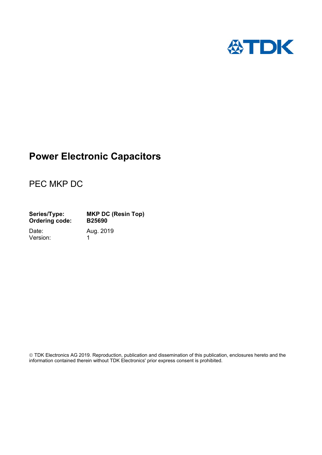

# **Power Electronic Capacitors**

# PEC MKP DC

| Series/Type:          | <b>MKP DC (Resin Top)</b> |
|-----------------------|---------------------------|
| <b>Ordering code:</b> | <b>B25690</b>             |

Version: 1

Date: Aug. 2019

 TDK Electronics AG 2019. Reproduction, publication and dissemination of this publication, enclosures hereto and the information contained therein without TDK Electronics' prior express consent is prohibited.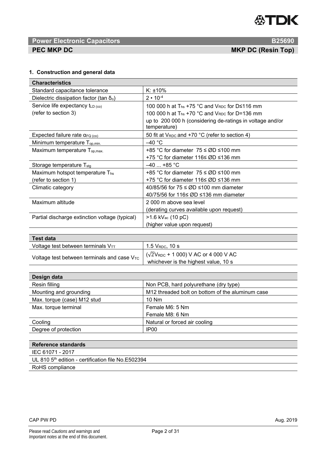

# **Power Electronic Capacitors B25690 <b>B25690 PEC MKP DC**  *PEC MKP DC PEC MKP DC* (Resin Top)

## **1. Construction and general data**

| <b>Characteristics</b>                          |                                                                           |
|-------------------------------------------------|---------------------------------------------------------------------------|
| Standard capacitance tolerance                  | $K: \pm 10\%$                                                             |
| Dielectric dissipation factor (tan $\delta_0$ ) | $2 \cdot 10^{-4}$                                                         |
| Service life expectancy $t_{LD}$ (co)           | 100 000 h at T <sub>hs</sub> +75 °C and V <sub>RDC</sub> for D≤116 mm     |
| (refer to section 3)                            | 100 000 h at T <sub>hs</sub> +70 °C and V <sub>RDC</sub> for D=136 mm     |
|                                                 | up to 200 000 h (considering de-ratings in voltage and/or<br>temperature) |
| Expected failure rate $\alpha_{\text{FQ (co)}}$ | 50 fit at $V_{RDC}$ and +70 °C (refer to section 4)                       |
| Minimum temperature $T_{op,min}$                | $-40 °C$                                                                  |
| Maximum temperature $T_{op,max}$ .              | +85 °C for diameter $75 \le \emptyset D \le 100$ mm                       |
|                                                 | +75 °C for diameter 116≤ ØD ≤136 mm                                       |
| Storage temperature T <sub>stg</sub>            | $-40$ +85 °C                                                              |
| Maximum hotspot temperature Ths                 | +85 °C for diameter $75 \le \emptyset D \le 100$ mm                       |
| (refer to section 1)                            | +75 °C for diameter 116≤ ØD ≤136 mm                                       |
| Climatic category                               | 40/85/56 for $75 \le \emptyset D \le 100$ mm diameter                     |
|                                                 | 40/75/56 for 116≤ ØD ≤136 mm diameter                                     |
| Maximum altitude                                | 2000 m above sea level                                                    |
|                                                 | (derating curves available upon request)                                  |
| Partial discharge extinction voltage (typical)  | $>1.6$ kV <sub>ac</sub> (10 pC)                                           |
|                                                 | (higher value upon request)                                               |

| Test data                                        |                                                                                       |
|--------------------------------------------------|---------------------------------------------------------------------------------------|
| Voltage test between terminals VTT               | $1.5$ $V_{RDC}$ , $10$ s                                                              |
| Voltage test between terminals and case $V_{TC}$ | $(\sqrt{2}V_{RDC} + 1000)$ V AC or 4 000 V AC<br>whichever is the highest value, 10 s |

| Design data                 |                                                              |
|-----------------------------|--------------------------------------------------------------|
| Resin filling               | Non PCB, hard polyurethane (dry type)                        |
| Mounting and grounding      | M <sub>12</sub> threaded bolt on bottom of the aluminum case |
| Max. torque (case) M12 stud | $10$ Nm                                                      |
| Max. torque terminal        | Female M6: 5 Nm                                              |
|                             | Female M8: 6 Nm                                              |
| Cooling                     | Natural or forced air cooling                                |
| Degree of protection        | IP <sub>00</sub>                                             |

| Reference standards                                            |
|----------------------------------------------------------------|
| IEC 61071 - 2017                                               |
| UL 810 5 <sup>th</sup> edition - certification file No.E502394 |
| RoHS compliance                                                |

### CAP PW PD Aug. 2019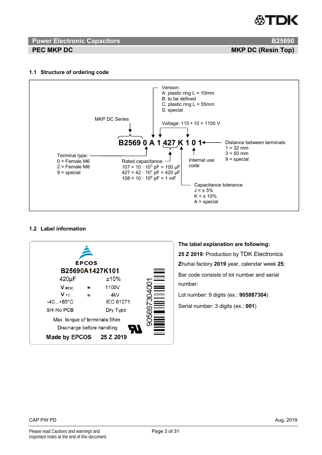# ГDК

# **Power Electronic Capacitors B25690 B25690**

**PEC MKP DC** MKP DC **Resident CONSUMING TOP** 

# **1.1 Structure of ordering code**



## **1.2 Label information**



## **The label explanation are following:**

**25 Z 2019**: Production by TDK Electronics **Z**huhai factory **2019** year, calendar week **25**; Bar code consists of lot number and serial number:

Lot number: 9 digits (ex.: **905887304**)

Serial number: 3 digits (ex.: **001**)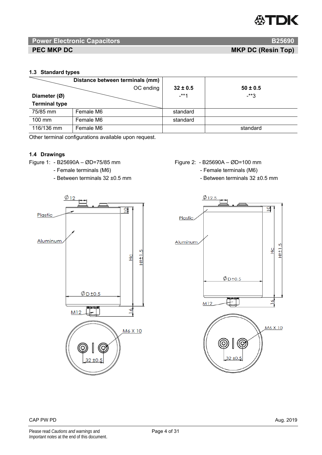# **Power Electronic Capacitors B25690 B25690**

**PEC MKP DC** MKP DC **Resident CONSUMING CONSUMING CONSUMING CONSUMING CONSUMING CONSUMING CONSUMING CONSUMING CONSUMING CONSUMING CONSUMING CONSUMING CONSUMING CONSUMING CONSUMING CONSUMING CONSUMING CONSUMING CONSUMING CO** 

## **1.3 Standard types**

|                      | Distance between terminals (mm) |              |              |
|----------------------|---------------------------------|--------------|--------------|
|                      | OC ending                       | $32 \pm 0.5$ | $50 \pm 0.5$ |
| Diameter (Ø)         |                                 | $-***1$      | -**3         |
| <b>Terminal type</b> |                                 |              |              |
| 75/85 mm             | Female M6                       | standard     |              |
| 100 mm               | Female M6                       | standard     |              |
| 116/136 mm           | Female M6                       |              | standard     |

Other terminal configurations available upon request.

## **1.4 Drawings**

Figure 1: - B25690A – ØD=75/85 mm Figure 2: - B25690A – ØD=100 mm

- 
- 



- 
- Female terminals (M6)  $\overline{ }$  Female terminals (M6)
- Between terminals 32 ±0.5 mm

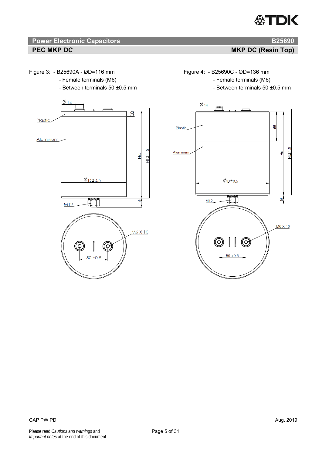# **18 Power Electronic Capacitors B25690 <b>B25690 B25690 PEC MKP DC** MKP DC **MKP DC** (Resin Top)

- Female terminals (M6)  $\overline{ }$  Female terminals (M6)
- Between terminals 50 ±0.5 mm



Figure 3: - B25690A - ØD=116 mm Figure 4: - B25690C - ØD=136 mm

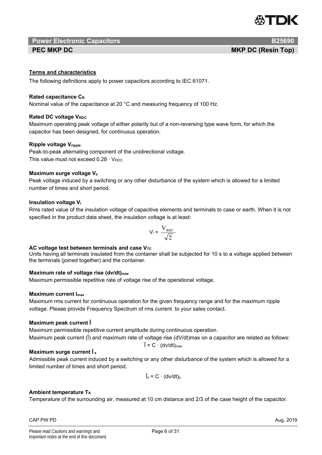

# **Power Electronic Capacitors B25690**

# **Terms and characteristics**

The following definitions apply to power capacitors according to IEC 61071.

## **Rated capacitance CR**

Nominal value of the capacitance at 20 °C and measuring frequency of 100 Hz.

# **Rated DC voltage VRDC**

Maximum operating peak voltage of either polarity but of a non-reversing type wave form, for which the capacitor has been designed, for continuous operation.

# **Ripple voltage Vripple**

Peak-to-peak alternating component of the unidirectional voltage. This value must not exceed  $0.28 \cdot V_{RDC}$ 

# **Maximum surge voltage Vs**

Peak voltage induced by a switching or any other disturbance of the system which is allowed for a limited number of times and short period.

# **Insulation voltage Vi**

Rms rated value of the insulation voltage of capacitive elements and terminals to case or earth. When it is not specified in the product data sheet, the insulation voltage is at least:

$$
V_i = \frac{V_{RDC}}{\sqrt{2}}
$$

## AC voltage test between terminals and case V<sub>TC</sub>

Units having all terminals insulated from the container shall be subjected for 10 s to a voltage applied between the terminals (joined together) and the container.

## **Maximum rate of voltage rise (dv/dt)<sub>max</sub>**

Maximum permissible repetitive rate of voltage rise of the operational voltage.

## **Maximum current Imax**

Maximum rms current for continuous operation for the given frequency range and for the maximum ripple voltage. Please provide Frequency Spectrum of rms current to your sales contact.

## **Maximum peak current Î**

Maximum permissible repetitive current amplitude during continuous operation.

Maximum peak current (I) and maximum rate of voltage rise (dV/dt)max on a capacitor are related as follows:  $\hat{I} = C \cdot (dv/dt)_{max}$ 

## **Maximum surge current Î s**

Admissible peak current induced by a switching or any other disturbance of the system which is allowed for a limited number of times and short period.

$$
\hat{I}_s = C \cdot (dv/dt)_s
$$

## **Ambient temperature TA**

Temperature of the surrounding air, measured at 10 cm distance and 2/3 of the case height of the capacitor.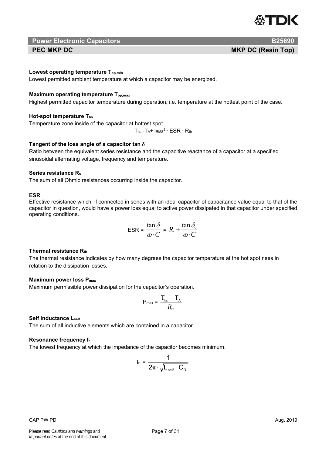

 **Power Electronic Capacitors B25690 <b>B25690** 

**PEC MKP DC** MKP DC **Resident CONSUMING TOP** 

### Lowest operating temperature T<sub>op,min</sub>

Lowest permitted ambient temperature at which a capacitor may be energized.

### **Maximum operating temperature Top,max**

Highest permitted capacitor temperature during operation, i.e. temperature at the hottest point of the case.

### **Hot-spot temperature Ths**

Temperature zone inside of the capacitor at hottest spot.

 $T_{hs}$ =T<sub>A</sub>+  $I<sub>RMS</sub><sup>2</sup>$   $\cdot$  ESR  $\cdot$  R<sub>th</sub>

## **Tangent of the loss angle of a capacitor tan**

Ratio between the equivalent series resistance and the capacitive reactance of a capacitor at a specified sinusoidal alternating voltage, frequency and temperature.

### **Series resistance Rs**

The sum of all Ohmic resistances occurring inside the capacitor.

### **ESR**

Effective resistance which, if connected in series with an ideal capacitor of capacitance value equal to that of the capacitor in question, would have a power loss equal to active power dissipated in that capacitor under specified operating conditions.

$$
\text{ESR} = \frac{\tan \delta}{\omega \cdot C} = R_s + \frac{\tan \delta_0}{\omega \cdot C}
$$

## **Thermal resistance Rth**

The thermal resistance indicates by how many degrees the capacitor temperature at the hot spot rises in relation to the dissipation losses.

### **Maximum power loss Pmax**

Maximum permissible power dissipation for the capacitor's operation.

$$
P_{\text{max}} = \frac{T_{\text{hs}} - T_{\text{A}}}{R_{\text{th}}}
$$

### **Self inductance Lself**

The sum of all inductive elements which are contained in a capacitor.

### **Resonance frequency fr**

The lowest frequency at which the impedance of the capacitor becomes minimum.

$$
f_r = \frac{1}{2\pi \cdot \sqrt{L_{\text{self}} \cdot C_{\text{R}}}}
$$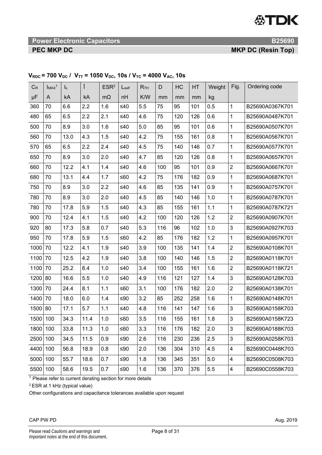**18 Power Electronic Capacitors B25690 <b>B25690 B25690** 

**PEC MKP DC** MKP DC **MKP DC** (Resin Top)

| $C_R$ | ImAx <sup>1</sup> | $\mathsf{I}_\mathsf{s}$ | Î    | ESR <sup>2</sup> | $L_{\text{self}}$ | R <sub>TH</sub> | D   | HC  | HT  | Weight | Fig.                      | Ordering code   |
|-------|-------------------|-------------------------|------|------------------|-------------------|-----------------|-----|-----|-----|--------|---------------------------|-----------------|
| μF    | A                 | kA                      | kA   | $m\Omega$        | nH                | K/W             | mm  | mm  | mm  | kg     |                           |                 |
| 360   | 70                | 6.6                     | 2.2  | 1.6              | ≤40               | 5.5             | 75  | 95  | 101 | 0.5    | 1                         | B25690A0367K701 |
| 480   | 65                | 6.5                     | 2.2  | 2.1              | ≤40               | 4.6             | 75  | 120 | 126 | 0.6    | $\mathbf{1}$              | B25690A0487K701 |
| 500   | 70                | 8.9                     | 3.0  | 1.6              | $≤40$             | 5.0             | 85  | 95  | 101 | 0.6    | 1                         | B25690A0507K701 |
| 560   | 70                | 13.0                    | 4.3  | 1.5              | $≤40$             | 4.2             | 75  | 155 | 161 | 0.8    | $\mathbf{1}$              | B25690A0567K701 |
| 570   | 65                | 6.5                     | 2.2  | 2.4              | ≤40               | 4.5             | 75  | 140 | 146 | 0.7    | $\mathbf{1}$              | B25690A0577K701 |
| 650   | 70                | 8.9                     | 3.0  | 2.0              | $\leq 40$         | 4.7             | 85  | 120 | 126 | 0.8    | $\mathbf{1}$              | B25690A0657K701 |
| 660   | 70                | 12.2                    | 4.1  | 1.4              | $≤40$             | 4.6             | 100 | 95  | 101 | 0.9    | $\overline{2}$            | B25690A0667K701 |
| 680   | 70                | 13.1                    | 4.4  | 1.7              | ≤60               | 4.2             | 75  | 176 | 182 | 0.9    | $\mathbf{1}$              | B25690A0687K701 |
| 750   | 70                | 8.9                     | 3.0  | 2.2              | $≤40$             | 4.6             | 85  | 135 | 141 | 0.9    | $\mathbf{1}$              | B25690A0757K701 |
| 780   | 70                | 8.9                     | 3.0  | 2.0              | $≤40$             | 4.5             | 85  | 140 | 146 | 1.0    | $\mathbf{1}$              | B25690A0787K701 |
| 780   | 70                | 17.8                    | 5.9  | 1.5              | $≤40$             | 4.3             | 85  | 155 | 161 | 1.1    | $\mathbf{1}$              | B25690A0787K721 |
| 900   | 70                | 12.4                    | 4.1  | 1.5              | $≤40$             | 4.2             | 100 | 120 | 126 | 1.2    | $\overline{2}$            | B25690A0907K701 |
| 920   | 80                | 17.3                    | 5.8  | 0.7              | $≤40$             | 5.3             | 116 | 96  | 102 | 1.0    | 3                         | B25690A0927K703 |
| 950   | 70                | 17.8                    | 5.9  | 1.5              | $≤60$             | 4.2             | 85  | 176 | 182 | 1.2    | $\mathbf{1}$              | B25690A0957K701 |
| 1000  | 70                | 12.2                    | 4.1  | 1.9              | $\leq 40$         | 3.9             | 100 | 135 | 141 | 1.4    | $\overline{2}$            | B25690A0108K701 |
| 1100  | 70                | 12.5                    | 4.2  | 1.9              | $≤40$             | 3.8             | 100 | 140 | 146 | 1.5    | $\overline{2}$            | B25690A0118K701 |
| 1100  | 70                | 25.2                    | 8.4  | 1.0              | $\leq 40$         | 3.4             | 100 | 155 | 161 | 1.6    | $\overline{2}$            | B25690A0118K721 |
| 1200  | 80                | 16.6                    | 5.5  | 1.0              | $≤40$             | 4.9             | 116 | 121 | 127 | 1.4    | 3                         | B25690A0128K703 |
| 1300  | 70                | 24.4                    | 8.1  | 1.1              | ≤60               | 3.1             | 100 | 176 | 182 | 2.0    | $\overline{2}$            | B25690A0138K701 |
| 1400  | 70                | 18.0                    | 6.0  | 1.4              | $≤90$             | 3.2             | 85  | 252 | 258 | 1.6    | $\mathbf{1}$              | B25690A0148K701 |
| 1500  | 80                | 17.1                    | 5.7  | 1.1              | $≤40$             | 4.8             | 116 | 141 | 147 | 1.6    | 3                         | B25690A0158K703 |
| 1500  | 100               | 34.3                    | 11.4 | 1.0              | ≤60               | 3.5             | 116 | 155 | 161 | 1.8    | 3                         | B25690A0158K723 |
| 1800  | 100               | 33.8                    | 11.3 | 1.0              | ≤60               | 3.3             | 116 | 176 | 182 | 2.0    | $\ensuremath{\mathsf{3}}$ | B25690A0188K703 |
| 2500  | 100               | 34.5                    | 11.5 | 0.9              | $≤90$             | 2.6             | 116 | 230 | 236 | 2.5    | $\mathfrak{S}$            | B25690A0258K703 |
| 4400  | 100               | 56.8                    | 18.9 | 0.8              | $≤90$             | 2.0             | 136 | 304 | 310 | 4.5    | 4                         | B25690C0448K703 |
| 5000  | 100               | 55.7                    | 18.6 | 0.7              | ≤ $90$            | 1.8             | 136 | 345 | 351 | 5.0    | 4                         | B25690C0508K703 |
| 5500  | 100               | 58.6                    | 19.5 | 0.7              | $≤90$             | 1.6             | 136 | 370 | 376 | 5.5    | 4                         | B25690C0558K703 |

# $V_{RDC}$  = 700  $V_{DC}$  /  $V_{TT}$  = 1050  $V_{DC}$ , 10s /  $V_{TC}$  = 4000  $V_{AC}$ , 10s

<sup>1</sup> Please refer to current derating section for more details

2 ESR at 1 kHz (typical value)

Other configurations and capacitance tolerances available upon request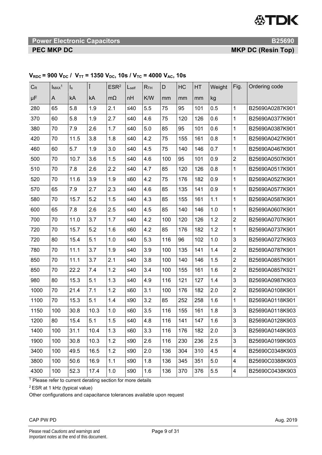**Power Electronic Capacitors B25690 <b>B25690** 

**PEC MKP DC** MKP DC **MKP DC** (Resin Top)

| $C_R$ | ImAx <sup>1</sup> | $\mathsf{I}_\mathsf{s}$ |      | ESR <sup>2</sup> | $L_{\text{self}}$ | R <sub>TH</sub> | D   | HC  | HT  | Weight  | Fig.                    | Ordering code   |
|-------|-------------------|-------------------------|------|------------------|-------------------|-----------------|-----|-----|-----|---------|-------------------------|-----------------|
| μF    | A                 | kA                      | kA   | $m\Omega$        | nH                | K/W             | mm  | mm  | mm  | kg      |                         |                 |
| 280   | 65                | 5.8                     | 1.9  | 2.1              | ≤40               | 5.5             | 75  | 95  | 101 | 0.5     | 1                       | B25690A0287K901 |
| 370   | 60                | 5.8                     | 1.9  | 2.7              | ≤40               | 4.6             | 75  | 120 | 126 | 0.6     | 1                       | B25690A0377K901 |
| 380   | 70                | 7.9                     | 2.6  | 1.7              | ≤40               | 5.0             | 85  | 95  | 101 | 0.6     | $\mathbf{1}$            | B25690A0387K901 |
| 420   | 70                | 11.5                    | 3.8  | 1.8              | ≤40               | 4.2             | 75  | 155 | 161 | 0.8     | 1                       | B25690A0427K901 |
| 460   | 60                | 5.7                     | 1.9  | 3.0              | ≤40               | 4.5             | 75  | 140 | 146 | 0.7     | 1                       | B25690A0467K901 |
| 500   | 70                | 10.7                    | 3.6  | 1.5              | ≤40               | 4.6             | 100 | 95  | 101 | 0.9     | $\overline{2}$          | B25690A0507K901 |
| 510   | 70                | 7.8                     | 2.6  | 2.2              | ≤40               | 4.7             | 85  | 120 | 126 | 0.8     | $\mathbf 1$             | B25690A0517K901 |
| 520   | 70                | 11.6                    | 3.9  | 1.9              | ≤60               | 4.2             | 75  | 176 | 182 | 0.9     | 1                       | B25690A0527K901 |
| 570   | 65                | 7.9                     | 2.7  | 2.3              | ≤40               | 4.6             | 85  | 135 | 141 | 0.9     | 1                       | B25690A0577K901 |
| 580   | 70                | 15.7                    | 5.2  | 1.5              | $≤40$             | 4.3             | 85  | 155 | 161 | 1.1     | 1                       | B25690A0587K901 |
| 600   | 65                | 7.8                     | 2.6  | 2.5              | ≤40               | 4.5             | 85  | 140 | 146 | 1.0     | $\mathbf{1}$            | B25690A0607K901 |
| 700   | 70                | 11.0                    | 3.7  | 1.7              | ≤40               | 4.2             | 100 | 120 | 126 | 1.2     | $\overline{2}$          | B25690A0707K901 |
| 720   | 70                | 15.7                    | 5.2  | 1.6              | ≤60               | 4.2             | 85  | 176 | 182 | 1.2     | 1                       | B25690A0737K901 |
| 720   | 80                | 15.4                    | 5.1  | 1.0              | ≤40               | 5.3             | 116 | 96  | 102 | 1.0     | 3                       | B25690A0727K903 |
| 780   | 70                | 11.1                    | 3.7  | 1.9              | ≤40               | 3.9             | 100 | 135 | 141 | 1.4     | $\overline{2}$          | B25690A0787K901 |
| 850   | 70                | 11.1                    | 3.7  | 2.1              | ≤40               | 3.8             | 100 | 140 | 146 | 1.5     | $\overline{2}$          | B25690A0857K901 |
| 850   | 70                | 22.2                    | 7.4  | 1.2              | ≤40               | 3.4             | 100 | 155 | 161 | 1.6     | $\overline{2}$          | B25690A0857K921 |
| 980   | 80                | 15.3                    | 5.1  | 1.3              | ≤40               | 4.9             | 116 | 121 | 127 | 1.4     | 3                       | B25690A0987K903 |
| 1000  | 70                | 21.4                    | 7.1  | 1.2              | ≤60               | 3.1             | 100 | 176 | 182 | 2.0     | $\overline{2}$          | B25690A0108K901 |
| 1100  | 70                | 15.3                    | 5.1  | 1.4              | ≤90               | 3.2             | 85  | 252 | 258 | 1.6     | $\mathbf{1}$            | B25690A0118K901 |
| 1150  | 100               | 30.8                    | 10.3 | 1.0              | ≤60               | 3.5             | 116 | 155 | 161 | 1.8     | 3                       | B25690A0118K903 |
| 1200  | 80                | 15.4                    | 5.1  | 1.5              | ≤40               | 4.8             | 116 | 141 | 147 | 1.6     | 3                       | B25690A0128K903 |
| 1400  | 100               | 31.1                    | 10.4 | 1.3              | ≤60               | 3.3             | 116 | 176 | 182 | 2.0     | $\mathsf 3$             | B25690A0148K903 |
| 1900  | 100               | 30.8                    | 10.3 | 1.2              | $≤90$             | 2.6             | 116 | 230 | 236 | 2.5     | $\mathsf 3$             | B25690A0198K903 |
| 3400  | 100               | 49.5                    | 16.5 | 1.2              | ≤ $90$            | 2.0             | 136 | 304 | 310 | 4.5     | 4                       | B25690C0348K903 |
| 3800  | 100               | 50.6                    | 16.9 | 1.1              | ≤90               | 1.8             | 136 | 345 | 351 | $5.0\,$ | $\overline{\mathbf{4}}$ | B25690C0388K903 |
| 4300  | 100               | 52.3                    | 17.4 | 1.0              | ≤ $90$            | 1.6             | 136 | 370 | 376 | 5.5     | $\overline{\mathbf{4}}$ | B25690C0438K903 |

# $V_{RDC}$  = 900  $V_{DC}$  /  $V_{TT}$  = 1350  $V_{DC}$ , 10s /  $V_{TC}$  = 4000  $V_{AC}$ , 10s

 $1$  Please refer to current derating section for more details

2 ESR at 1 kHz (typical value)

Other configurations and capacitance tolerances available upon request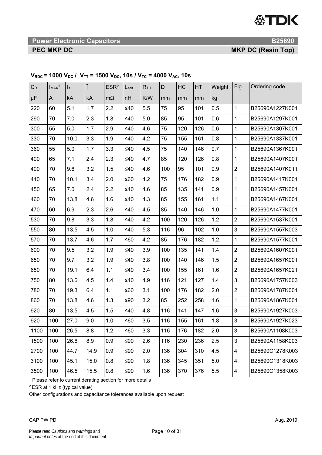# **19 The Power Electronic Capacitors B25690 <b>B25690 B25690**

**PEC MKP DC** MKP DC **MKP DC** (Resin Top)

| $C_R$   | $ImAx^1$ | $\mathsf{I}_\mathsf{S}$ | Î    | ESR <sup>2</sup> | $L_{\text{self}}$ | R <sub>TH</sub> | D   | HC  | HT  | Weight | Fig.                    | Ordering code   |
|---------|----------|-------------------------|------|------------------|-------------------|-----------------|-----|-----|-----|--------|-------------------------|-----------------|
| $\mu$ F | A        | kA                      | kA   | $m\Omega$        | nH                | K/W             | mm  | mm  | mm  | kg     |                         |                 |
| 220     | 60       | 5.1                     | 1.7  | 2.2              | $\leq 40$         | 5.5             | 75  | 95  | 101 | 0.5    | $\mathbf{1}$            | B25690A1227K001 |
| 290     | 70       | 7.0                     | 2.3  | 1.8              | ≤40               | 5.0             | 85  | 95  | 101 | 0.6    | $\mathbf 1$             | B25690A1297K001 |
| 300     | 55       | 5.0                     | 1.7  | 2.9              | ≤40               | 4.6             | 75  | 120 | 126 | 0.6    | $\mathbf 1$             | B25690A1307K001 |
| 330     | 70       | 10.0                    | 3.3  | 1.9              | ≤40               | 4.2             | 75  | 155 | 161 | 0.8    | 1                       | B25690A1337K001 |
| 360     | 55       | 5.0                     | 1.7  | 3.3              | $≤40$             | 4.5             | 75  | 140 | 146 | 0.7    | $\mathbf 1$             | B25690A1367K001 |
| 400     | 65       | 7.1                     | 2.4  | 2.3              | ≤40               | 4.7             | 85  | 120 | 126 | 0.8    | $\mathbf{1}$            | B25690A1407K001 |
| 400     | 70       | 9.6                     | 3.2  | 1.5              | $≤40$             | 4.6             | 100 | 95  | 101 | 0.9    | $\overline{2}$          | B25690A1407K011 |
| 410     | 70       | 10.1                    | 3.4  | 2.0              | $≤60$             | 4.2             | 75  | 176 | 182 | 0.9    | $\mathbf{1}$            | B25690A1417K001 |
| 450     | 65       | 7.0                     | 2.4  | 2.2              | ≤40               | 4.6             | 85  | 135 | 141 | 0.9    | $\mathbf{1}$            | B25690A1457K001 |
| 460     | 70       | 13.8                    | 4.6  | 1.6              | $\leq 40$         | 4.3             | 85  | 155 | 161 | 1.1    | $\mathbf{1}$            | B25690A1467K001 |
| 470     | 60       | 6.9                     | 2.3  | 2.6              | ≤40               | 4.5             | 85  | 140 | 146 | 1.0    | $\mathbf 1$             | B25690A1477K001 |
| 530     | 70       | 9.8                     | 3.3  | 1.8              | ≤40               | 4.2             | 100 | 120 | 126 | 1.2    | $\overline{2}$          | B25690A1537K001 |
| 550     | 80       | 13.5                    | 4.5  | $1.0$            | ≤40               | 5.3             | 116 | 96  | 102 | 1.0    | $\mathbf{3}$            | B25690A1557K003 |
| 570     | 70       | 13.7                    | 4.6  | 1.7              | ≤60               | 4.2             | 85  | 176 | 182 | 1.2    | $\mathbf{1}$            | B25690A1577K001 |
| 600     | 70       | 9.5                     | 3.2  | 1.9              | ≤40               | 3.9             | 100 | 135 | 141 | 1.4    | $\overline{2}$          | B25690A1607K001 |
| 650     | 70       | 9.7                     | 3.2  | 1.9              | ≤40               | 3.8             | 100 | 140 | 146 | 1.5    | $\overline{2}$          | B25690A1657K001 |
| 650     | 70       | 19.1                    | 6.4  | 1.1              | $\leq 40$         | 3.4             | 100 | 155 | 161 | 1.6    | $\overline{2}$          | B25690A1657K021 |
| 750     | 80       | 13.6                    | 4.5  | 1.4              | ≤40               | 4.9             | 116 | 121 | 127 | 1.4    | $\mathbf{3}$            | B25690A1757K003 |
| 780     | 70       | 19.3                    | 6.4  | 1.1              | ≤60               | 3.1             | 100 | 176 | 182 | 2.0    | $\sqrt{2}$              | B25690A1787K001 |
| 860     | 70       | 13.8                    | 4.6  | 1.3              | ≤ $90$            | 3.2             | 85  | 252 | 258 | 1.6    | $\mathbf 1$             | B25690A1867K001 |
| 920     | 80       | 13.5                    | 4.5  | 1.5              | $≤40$             | 4.8             | 116 | 141 | 147 | 1.6    | $\mathbf{3}$            | B25690A1927K003 |
| 920     | 100      | 27.0                    | 9.0  | 1.0              | ≤60               | 3.5             | 116 | 155 | 161 | 1.8    | 3                       | B25690A1927K023 |
| 1100    | 100      | 26.5                    | 8.8  | 1.2              | $≤60$             | 3.3             | 116 | 176 | 182 | 2.0    | $\mathfrak{Z}$          | B25690A1108K003 |
| 1500    | 100      | 26.6                    | 8.9  | 0.9              | $≤90$             | 2.6             | 116 | 230 | 236 | 2.5    | $\mathfrak{Z}$          | B25690A1158K003 |
| 2700    | 100      | 44.7                    | 14.9 | 0.9              | $≤90$             | 2.0             | 136 | 304 | 310 | 4.5    | 4                       | B25690C1278K003 |
| 3100    | 100      | 45.1                    | 15.0 | 0.8              | ≤ $90$            | 1.8             | 136 | 345 | 351 | 5.0    | $\overline{4}$          | B25690C1318K003 |
| 3500    | 100      | 46.5                    | 15.5 | 0.8              | ≤ $90$            | 1.6             | 136 | 370 | 376 | 5.5    | $\overline{\mathbf{4}}$ | B25690C1358K003 |

# $V_{RDC}$  = 1000  $V_{DC}$  /  $V_{TT}$  = 1500  $V_{DC}$ , 10s /  $V_{TC}$  = 4000  $V_{AC}$ , 10s

 $1$  Please refer to current derating section for more details

2 ESR at 1 kHz (typical value)

Other configurations and capacitance tolerances available upon request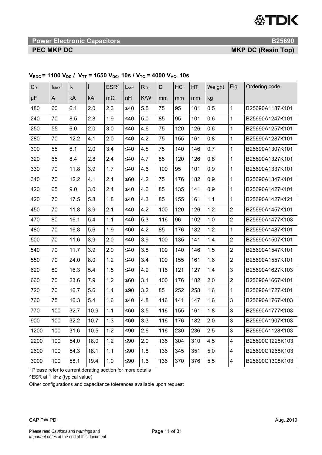**Power Electronic Capacitors B25690 <b>B25690** 

**PEC MKP DC** *PEC MKP DC* 

| $C_R$ | $I_{MAX}$ <sup>1</sup> | $\mathsf{I}_\mathsf{S}$ | Î    | ESR <sup>2</sup> | $L_{\text{self}}$ | R <sub>TH</sub> | D   | HC  | HT  | Weight  | Fig.           | Ordering code   |
|-------|------------------------|-------------------------|------|------------------|-------------------|-----------------|-----|-----|-----|---------|----------------|-----------------|
| μF    | A                      | kA                      | kA   | $m\Omega$        | nH                | K/W             | mm  | mm  | mm  | kg      |                |                 |
| 180   | 60                     | 6.1                     | 2.0  | 2.3              | ≤40               | 5.5             | 75  | 95  | 101 | 0.5     | $\mathbf{1}$   | B25690A1187K101 |
| 240   | 70                     | 8.5                     | 2.8  | 1.9              | ≤40               | 5.0             | 85  | 95  | 101 | 0.6     | $\mathbf{1}$   | B25690A1247K101 |
| 250   | 55                     | 6.0                     | 2.0  | 3.0              | ≤40               | 4.6             | 75  | 120 | 126 | 0.6     | $\mathbf{1}$   | B25690A1257K101 |
| 280   | 70                     | 12.2                    | 4.1  | 2.0              | ≤40               | 4.2             | 75  | 155 | 161 | 0.8     | $\mathbf{1}$   | B25690A1287K101 |
| 300   | 55                     | 6.1                     | 2.0  | 3.4              | ≤40               | 4.5             | 75  | 140 | 146 | 0.7     | $\mathbf{1}$   | B25690A1307K101 |
| 320   | 65                     | 8.4                     | 2.8  | 2.4              | ≤40               | 4.7             | 85  | 120 | 126 | 0.8     | 1              | B25690A1327K101 |
| 330   | 70                     | 11.8                    | 3.9  | 1.7              | ≤40               | 4.6             | 100 | 95  | 101 | 0.9     | $\mathbf{1}$   | B25690A1337K101 |
| 340   | 70                     | 12.2                    | 4.1  | 2.1              | ≤60               | 4.2             | 75  | 176 | 182 | 0.9     | $\mathbf{1}$   | B25690A1347K101 |
| 420   | 65                     | 9.0                     | 3.0  | 2.4              | ≤40               | 4.6             | 85  | 135 | 141 | 0.9     | $\mathbf{1}$   | B25690A1427K101 |
| 420   | 70                     | 17.5                    | 5.8  | 1.8              | ≤40               | 4.3             | 85  | 155 | 161 | 1.1     | $\mathbf{1}$   | B25690A1427K121 |
| 450   | 70                     | 11.8                    | 3.9  | 2.1              | ≤40               | 4.2             | 100 | 120 | 126 | 1.2     | $\overline{2}$ | B25690A1457K101 |
| 470   | 80                     | 16.1                    | 5.4  | 1.1              | ≤40               | 5.3             | 116 | 96  | 102 | 1.0     | $\overline{2}$ | B25690A1477K103 |
| 480   | 70                     | 16.8                    | 5.6  | 1.9              | $≤60$             | 4.2             | 85  | 176 | 182 | 1.2     | $\mathbf{1}$   | B25690A1487K101 |
| 500   | 70                     | 11.6                    | 3.9  | 2.0              | $\leq 40$         | 3.9             | 100 | 135 | 141 | 1.4     | $\overline{2}$ | B25690A1507K101 |
| 540   | 70                     | 11.7                    | 3.9  | 2.0              | ≤40               | 3.8             | 100 | 140 | 146 | 1.5     | $\overline{2}$ | B25690A1547K101 |
| 550   | 70                     | 24.0                    | 8.0  | 1.2              | ≤40               | 3.4             | 100 | 155 | 161 | 1.6     | $\overline{2}$ | B25690A1557K101 |
| 620   | 80                     | 16.3                    | 5.4  | 1.5              | ≤40               | 4.9             | 116 | 121 | 127 | 1.4     | 3              | B25690A1627K103 |
| 660   | 70                     | 23.6                    | 7.9  | 1.2              | ≤60               | 3.1             | 100 | 176 | 182 | 2.0     | $\overline{2}$ | B25690A1667K101 |
| 720   | 70                     | 16.7                    | 5.6  | 1.4              | ≤ $90$            | 3.2             | 85  | 252 | 258 | 1.6     | $\mathbf{1}$   | B25690A1727K101 |
| 760   | 75                     | 16.3                    | 5.4  | 1.6              | ≤40               | 4.8             | 116 | 141 | 147 | 1.6     | 3              | B25690A1767K103 |
| 770   | 100                    | 32.7                    | 10.9 | 1.1              | $≤60$             | 3.5             | 116 | 155 | 161 | 1.8     | 3              | B25690A1777K103 |
| 900   | 100                    | 32.2                    | 10.7 | 1.3              | ≤60               | 3.3             | 116 | 176 | 182 | 2.0     | 3              | B25690A1907K103 |
| 1200  | 100                    | 31.6                    | 10.5 | 1.2              | ≤90               | 2.6             | 116 | 230 | 236 | 2.5     | 3              | B25690A1128K103 |
| 2200  | 100                    | 54.0                    | 18.0 | 1.2              | ≤90               | 2.0             | 136 | 304 | 310 | 4.5     | 4              | B25690C1228K103 |
| 2600  | 100                    | 54.3                    | 18.1 | 1.1              | ≤ $90$            | 1.8             | 136 | 345 | 351 | $5.0\,$ | 4              | B25690C1268K103 |
| 3000  | 100                    | 58.1                    | 19.4 | 1.0              | ≤90               | 1.6             | 136 | 370 | 376 | 5.5     | $\overline{4}$ | B25690C1308K103 |

# $V_{RDC}$  = 1100  $V_{DC}$  /  $V_{TT}$  = 1650  $V_{DC}$ , 10s /  $V_{TC}$  = 4000  $V_{AC}$ , 10s

<sup>1</sup> Please refer to current derating section for more details

2 ESR at 1 kHz (typical value)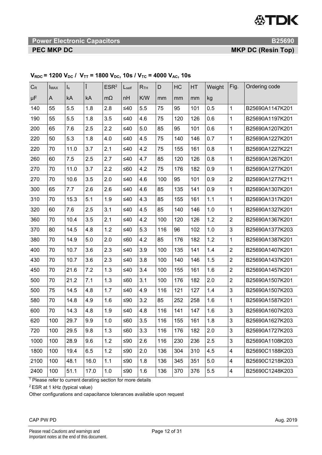# **Power Electronic Capacitors B25690 <b>B25690**

**PEC MKP DC** *PEC MKP DC* 

| $C_R$ | <b>IMAX</b> | $\mathsf{I}_\mathsf{S}$ | Î    | ESR <sup>2</sup> | $L_{\text{self}}$ | R <sub>TH</sub> | D   | HC  | HT  | Weight | Fig.           | Ordering code   |
|-------|-------------|-------------------------|------|------------------|-------------------|-----------------|-----|-----|-----|--------|----------------|-----------------|
| μF    | A           | kA                      | kA   | $m\Omega$        | nH                | K/W             | mm  | mm  | mm  | kg     |                |                 |
| 140   | 55          | 5.5                     | 1.8  | 2.8              | $\leq 40$         | 5.5             | 75  | 95  | 101 | 0.5    | 1              | B25690A1147K201 |
| 190   | 55          | 5.5                     | 1.8  | 3.5              | $\leq 40$         | 4.6             | 75  | 120 | 126 | 0.6    | 1              | B25690A1197K201 |
| 200   | 65          | 7.6                     | 2.5  | 2.2              | $\leq 40$         | 5.0             | 85  | 95  | 101 | 0.6    | 1              | B25690A1207K201 |
| 220   | 50          | 5.3                     | 1.8  | 4.0              | ≤40               | 4.5             | 75  | 140 | 146 | 0.7    | 1              | B25690A1227K201 |
| 220   | 70          | 11.0                    | 3.7  | 2.1              | $\leq 40$         | 4.2             | 75  | 155 | 161 | 0.8    | 1              | B25690A1227K221 |
| 260   | 60          | 7.5                     | 2.5  | 2.7              | $\leq 40$         | 4.7             | 85  | 120 | 126 | 0.8    | 1              | B25690A1267K201 |
| 270   | 70          | 11.0                    | 3.7  | 2.2              | ≤60               | 4.2             | 75  | 176 | 182 | 0.9    | 1              | B25690A1277K201 |
| 270   | 70          | 10.6                    | 3.5  | 2.0              | $\leq 40$         | 4.6             | 100 | 95  | 101 | 0.9    | $\overline{2}$ | B25690A1277K211 |
| 300   | 65          | 7.7                     | 2.6  | 2.6              | $\leq 40$         | 4.6             | 85  | 135 | 141 | 0.9    | 1              | B25690A1307K201 |
| 310   | 70          | 15.3                    | 5.1  | 1.9              | $\leq 40$         | 4.3             | 85  | 155 | 161 | 1.1    | 1              | B25690A1317K201 |
| 320   | 60          | 7.6                     | 2.5  | 3.1              | ≤40               | 4.5             | 85  | 140 | 146 | 1.0    | 1              | B25690A1327K201 |
| 360   | 70          | 10.4                    | 3.5  | 2.1              | ≤40               | 4.2             | 100 | 120 | 126 | 1.2    | $\overline{2}$ | B25690A1367K201 |
| 370   | 80          | 14.5                    | 4.8  | 1.2              | ≤40               | 5.3             | 116 | 96  | 102 | 1.0    | 3              | B25690A1377K203 |
| 380   | 70          | 14.9                    | 5.0  | 2.0              | ≤60               | 4.2             | 85  | 176 | 182 | 1.2    | 1              | B25690A1387K201 |
| 400   | 70          | 10.7                    | 3.6  | 2.3              | $\leq 40$         | 3.9             | 100 | 135 | 141 | 1.4    | $\overline{2}$ | B25690A1407K201 |
| 430   | 70          | 10.7                    | 3.6  | 2.3              | ≤40               | 3.8             | 100 | 140 | 146 | 1.5    | $\overline{2}$ | B25690A1437K201 |
| 450   | 70          | 21.6                    | 7.2  | 1.3              | $\leq 40$         | 3.4             | 100 | 155 | 161 | 1.6    | $\overline{2}$ | B25690A1457K201 |
| 500   | 70          | 21.2                    | 7.1  | 1.3              | ≤60               | 3.1             | 100 | 176 | 182 | 2.0    | $\overline{c}$ | B25690A1507K201 |
| 500   | 75          | 14.5                    | 4.8  | 1.7              | $\leq 40$         | 4.9             | 116 | 121 | 127 | 1.4    | 3              | B25690A1507K203 |
| 580   | 70          | 14.8                    | 4.9  | 1.6              | ≤ $90$            | 3.2             | 85  | 252 | 258 | 1.6    | 1              | B25690A1587K201 |
| 600   | 70          | 14.3                    | 4.8  | 1.9              | ≤40               | 4.8             | 116 | 141 | 147 | 1.6    | 3              | B25690A1607K203 |
| 620   | 100         | 29.7                    | 9.9  | $1.0$            | ≤60               | 3.5             | 116 | 155 | 161 | 1.8    | 3              | B25690A1627K203 |
| 720   | 100         | 29.5                    | 9.8  | 1.3              | ≤60               | 3.3             | 116 | 176 | 182 | 2.0    | 3              | B25690A1727K203 |
| 1000  | 100         | 28.9                    | 9.6  | 1.2              | $≤90$             | 2.6             | 116 | 230 | 236 | 2.5    | $\mathfrak{S}$ | B25690A1108K203 |
| 1800  | 100         | 19.4                    | 6.5  | 1.2              | ≤ $90$            | 2.0             | 136 | 304 | 310 | 4.5    | 4              | B25690C1188K203 |
| 2100  | 100         | 48.1                    | 16.0 | 1.1              | ≤90               | 1.8             | 136 | 345 | 351 | 5.0    | 4              | B25690C1218K203 |
| 2400  | 100         | 51.1                    | 17.0 | 1.0              | ≤90               | 1.6             | 136 | 370 | 376 | 5.5    | 4              | B25690C1248K203 |

# $V_{RDC}$  = 1200  $V_{DC}$  /  $V_{TT}$  = 1800  $V_{DC}$ , 10s /  $V_{TC}$  = 4000  $V_{AC}$ , 10s

<sup>1</sup> Please refer to current derating section for more details

2 ESR at 1 kHz (typical value)

Other configurations and capacitance tolerances available upon request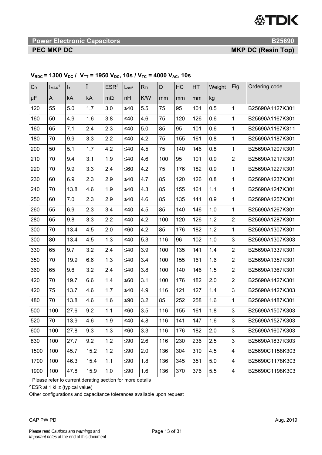**Power Electronic Capacitors B25690 <b>B25690** 

**PEC MKP DC** *PEC MKP DC* 

| $C_R$ | ImAx <sup>1</sup> | $\mathsf{I}_\mathsf{s}$ |      | ESR <sup>2</sup> | Lself     | R <sub>TH</sub> | D   | HC  | HT  | Weight  | Fig.                    | Ordering code   |
|-------|-------------------|-------------------------|------|------------------|-----------|-----------------|-----|-----|-----|---------|-------------------------|-----------------|
| μF    | A                 | kA                      | kA   | $m\Omega$        | nH        | K/W             | mm  | mm  | mm  | kg      |                         |                 |
| 120   | 55                | 5.0                     | 1.7  | 3.0              | $\leq 40$ | 5.5             | 75  | 95  | 101 | 0.5     | $\mathbf{1}$            | B25690A1127K301 |
| 160   | 50                | 4.9                     | 1.6  | 3.8              | $\leq 40$ | 4.6             | 75  | 120 | 126 | 0.6     | $\mathbf{1}$            | B25690A1167K301 |
| 160   | 65                | 7.1                     | 2.4  | 2.3              | $\leq 40$ | 5.0             | 85  | 95  | 101 | 0.6     | $\mathbf{1}$            | B25690A1167K311 |
| 180   | 70                | 9.9                     | 3.3  | 2.2              | $\leq 40$ | 4.2             | 75  | 155 | 161 | 0.8     | $\mathbf{1}$            | B25690A1187K301 |
| 200   | 50                | 5.1                     | 1.7  | 4.2              | $\leq 40$ | 4.5             | 75  | 140 | 146 | 0.8     | $\mathbf{1}$            | B25690A1207K301 |
| 210   | 70                | 9.4                     | 3.1  | 1.9              | $\leq 40$ | 4.6             | 100 | 95  | 101 | $0.9\,$ | $\overline{2}$          | B25690A1217K301 |
| 220   | 70                | 9.9                     | 3.3  | 2.4              | $≤60$     | 4.2             | 75  | 176 | 182 | 0.9     | $\mathbf{1}$            | B25690A1227K301 |
| 230   | 60                | 6.9                     | 2.3  | 2.9              | $\leq 40$ | 4.7             | 85  | 120 | 126 | 0.8     | $\mathbf{1}$            | B25690A1237K301 |
| 240   | 70                | 13.8                    | 4.6  | 1.9              | $\leq 40$ | 4.3             | 85  | 155 | 161 | 1.1     | $\mathbf{1}$            | B25690A1247K301 |
| 250   | 60                | 7.0                     | 2.3  | 2.9              | $\leq 40$ | 4.6             | 85  | 135 | 141 | 0.9     | $\mathbf{1}$            | B25690A1257K301 |
| 260   | 55                | 6.9                     | 2.3  | 3.4              | $\leq 40$ | 4.5             | 85  | 140 | 146 | 1.0     | $\mathbf{1}$            | B25690A1267K301 |
| 280   | 65                | 9.8                     | 3.3  | 2.2              | $\leq 40$ | 4.2             | 100 | 120 | 126 | 1.2     | $\overline{c}$          | B25690A1287K301 |
| 300   | 70                | 13.4                    | 4.5  | 2.0              | $≤60$     | 4.2             | 85  | 176 | 182 | 1.2     | $\mathbf{1}$            | B25690A1307K301 |
| 300   | 80                | 13.4                    | 4.5  | 1.3              | $\leq 40$ | 5.3             | 116 | 96  | 102 | 1.0     | 3                       | B25690A1307K303 |
| 330   | 65                | 9.7                     | 3.2  | 2.4              | $\leq 40$ | 3.9             | 100 | 135 | 141 | 1.4     | $\overline{2}$          | B25690A1337K301 |
| 350   | 70                | 19.9                    | 6.6  | 1.3              | $\leq 40$ | 3.4             | 100 | 155 | 161 | 1.6     | $\boldsymbol{2}$        | B25690A1357K301 |
| 360   | 65                | 9.6                     | 3.2  | 2.4              | $\leq 40$ | 3.8             | 100 | 140 | 146 | 1.5     | $\overline{2}$          | B25690A1367K301 |
| 420   | 70                | 19.7                    | 6.6  | 1.4              | $≤60$     | 3.1             | 100 | 176 | 182 | 2.0     | $\overline{2}$          | B25690A1427K301 |
| 420   | 75                | 13.7                    | 4.6  | 1.7              | $\leq 40$ | 4.9             | 116 | 121 | 127 | 1.4     | 3                       | B25690A1427K303 |
| 480   | 70                | 13.8                    | 4.6  | 1.6              | $≤90$     | 3.2             | 85  | 252 | 258 | 1.6     | $\mathbf{1}$            | B25690A1487K301 |
| 500   | 100               | 27.6                    | 9.2  | 1.1              | ≤60       | 3.5             | 116 | 155 | 161 | 1.8     | $\mathfrak{S}$          | B25690A1507K303 |
| 520   | 70                | 13.9                    | 4.6  | 1.9              | $\leq 40$ | 4.8             | 116 | 141 | 147 | 1.6     | 3                       | B25690A1527K303 |
| 600   | 100               | 27.8                    | 9.3  | 1.3              | $≤60$     | 3.3             | 116 | 176 | 182 | 2.0     | 3                       | B25690A1607K303 |
| 830   | 100               | 27.7                    | 9.2  | $1.2$            | ≤ $90$    | 2.6             | 116 | 230 | 236 | 2.5     | 3                       | B25690A1837K303 |
| 1500  | 100               | 45.7                    | 15.2 | 1.2              | $≤90$     | 2.0             | 136 | 304 | 310 | 4.5     | $\overline{\mathbf{4}}$ | B25690C1158K303 |
| 1700  | 100               | 46.3                    | 15.4 | 1.1              | ≤ $90$    | 1.8             | 136 | 345 | 351 | $5.0\,$ | $\overline{\mathbf{4}}$ | B25690C1178K303 |
| 1900  | 100               | 47.8                    | 15.9 | 1.0              | ≤ $90$    | 1.6             | 136 | 370 | 376 | 5.5     | $\overline{\mathbf{4}}$ | B25690C1198K303 |

# $V_{RDC}$  = 1300  $V_{DC}$  /  $V_{TT}$  = 1950  $V_{DC}$ , 10s /  $V_{TC}$  = 4000  $V_{AC}$ , 10s

<sup>1</sup> Please refer to current derating section for more details

2 ESR at 1 kHz (typical value)

Other configurations and capacitance tolerances available upon request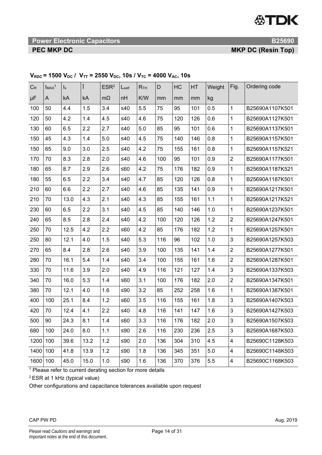**19 The Power Electronic Capacitors B25690 <b>B25690 B25690** 

**PEC MKP DC** MKP DC **MKP DC** (Resin Top)

| $C_R$ | ImAx <sup>1</sup> | $\mathsf{I}_\mathsf{s}$ |      | ESR <sup>2</sup> | $L_{\text{self}}$ | R <sub>TH</sub> | D   | HC  | HT  | Weight | Fig.                      | Ordering code   |
|-------|-------------------|-------------------------|------|------------------|-------------------|-----------------|-----|-----|-----|--------|---------------------------|-----------------|
| μF    | A                 | kA                      | kA   | $m\Omega$        | nH                | K/W             | mm  | mm  | mm  | kg     |                           |                 |
| 100   | 50                | 4.4                     | 1.5  | 3.4              | $\leq 40$         | 5.5             | 75  | 95  | 101 | 0.5    | $\mathbf{1}$              | B25690A1107K501 |
| 120   | 50                | 4.2                     | 1.4  | 4.5              | $\leq 40$         | 4.6             | 75  | 120 | 126 | 0.6    | $\mathbf{1}$              | B25690A1127K501 |
| 130   | 60                | 6.5                     | 2.2  | 2.7              | $\leq 40$         | 5.0             | 85  | 95  | 101 | 0.6    | $\mathbf{1}$              | B25690A1137K501 |
| 150   | 45                | 4.3                     | 1.4  | 5.0              | $\leq 40$         | 4.5             | 75  | 140 | 146 | 0.8    | $\mathbf{1}$              | B25690A1157K501 |
| 150   | 65                | 9.0                     | 3.0  | 2.5              | $\leq 40$         | 4.2             | 75  | 155 | 161 | 0.8    | $\mathbf{1}$              | B25690A1157K521 |
| 170   | 70                | 8.3                     | 2.8  | 2.0              | $\leq 40$         | 4.6             | 100 | 95  | 101 | 0.9    | $\overline{2}$            | B25690A1177K501 |
| 180   | 65                | 8.7                     | 2.9  | 2.6              | ≤60               | 4.2             | 75  | 176 | 182 | 0.9    | $\mathbf{1}$              | B25690A1187K521 |
| 180   | 55                | 6.5                     | 2.2  | 3.4              | $≤40$             | 4.7             | 85  | 120 | 126 | 0.8    | $\mathbf{1}$              | B25690A1187K501 |
| 210   | 60                | 6.6                     | 2.2  | 2.7              | $\leq 40$         | 4.6             | 85  | 135 | 141 | 0.9    | $\mathbf{1}$              | B25690A1217K501 |
| 210   | 70                | 13.0                    | 4.3  | 2.1              | $\leq 40$         | 4.3             | 85  | 155 | 161 | 1.1    | $\mathbf{1}$              | B25690A1217K521 |
| 230   | 60                | 6.5                     | 2.2  | 3.1              | $\leq 40$         | 4.5             | 85  | 140 | 146 | 1.0    | $\mathbf{1}$              | B25690A1237K501 |
| 240   | 65                | 8.5                     | 2.8  | 2.4              | $\leq 40$         | 4.2             | 100 | 120 | 126 | 1.2    | $\boldsymbol{2}$          | B25690A1247K501 |
| 250   | 70                | 12.5                    | 4.2  | 2.2              | $≤60$             | 4.2             | 85  | 176 | 182 | 1.2    | $\mathbf{1}$              | B25690A1257K501 |
| 250   | 80                | 12.1                    | 4.0  | 1.5              | $\leq 40$         | 5.3             | 116 | 96  | 102 | 1.0    | 3                         | B25690A1257K503 |
| 270   | 65                | 8.4                     | 2.8  | 2.6              | $\leq 40$         | 3.9             | 100 | 135 | 141 | 1.4    | $\overline{2}$            | B25690A1277K501 |
| 280   | 70                | 16.1                    | 5.4  | 1.4              | $\leq 40$         | 3.4             | 100 | 155 | 161 | 1.6    | $\overline{2}$            | B25690A1287K501 |
| 330   | 70                | 11.6                    | 3.9  | 2.0              | $\leq 40$         | 4.9             | 116 | 121 | 127 | 1.4    | 3                         | B25690A1337K503 |
| 340   | 70                | 16.0                    | 5.3  | 1.4              | ≤60               | 3.1             | 100 | 176 | 182 | 2.0    | $\overline{2}$            | B25690A1347K501 |
| 380   | 70                | 12.1                    | 4.0  | 1.6              | $≤90$             | 3.2             | 85  | 252 | 258 | 1.6    | $\mathbf{1}$              | B25690A1387K501 |
| 400   | 100               | 25.1                    | 8.4  | 1.2              | ≤60               | 3.5             | 116 | 155 | 161 | 1.8    | 3                         | B25690A1407K503 |
| 420   | 70                | 12.4                    | 4.1  | 2.2              | $\leq 40$         | 4.8             | 116 | 141 | 147 | 1.6    | $\ensuremath{\mathsf{3}}$ | B25690A1427K503 |
| 500   | 90                | 24.3                    | 8.1  | 1.4              | ≤60               | 3.3             | 116 | 176 | 182 | 2.0    | 3                         | B25690A1507K503 |
| 680   | 100               | 24.0                    | 8.0  | 1.1              | $≤90$             | 2.6             | 116 | 230 | 236 | 2.5    | 3                         | B25690A1687K503 |
| 1200  | 100               | 39.6                    | 13.2 | 1.2              | ≤ $90$            | 2.0             | 136 | 304 | 310 | 4.5    | $\overline{\mathbf{4}}$   | B25690C1128K503 |
| 1400  | 100               | 41.8                    | 13.9 | 1.2              | $≤90$             | 1.8             | 136 | 345 | 351 | 5.0    | $\overline{\mathbf{4}}$   | B25690C1148K503 |
| 1600  | 100               | 45.0                    | 15.0 | 1.0              | ≤ $90$            | 1.6             | 136 | 370 | 376 | 5.5    | $\overline{\mathbf{4}}$   | B25690C1168K503 |

# $V_{RDC}$  = 1500  $V_{DC}$  /  $V_{TT}$  = 2550  $V_{DC}$ , 10s /  $V_{TC}$  = 4000  $V_{AC}$ , 10s

1 Please refer to current derating section for more details

2 ESR at 1 kHz (typical value)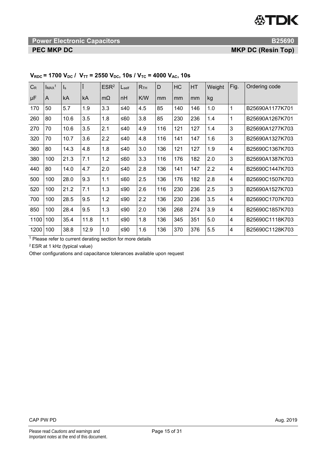**19 International Power Electronic Capacitors And American Contract Capacitors B25690 <b>B25690** 

**PEC MKP DC** MKP DC **MKP DC** (Resin Top)

| $C_R$ | ImAx <sup>1</sup> | $\mathsf{I}_\mathsf{s}$ |      | ESR <sup>2</sup> | $L_{\text{self}}$ | R <sub>TH</sub> | D   | HC  | HT  | Weight | Fig.                    | Ordering code   |
|-------|-------------------|-------------------------|------|------------------|-------------------|-----------------|-----|-----|-----|--------|-------------------------|-----------------|
| μF    | A                 | kA                      | kA   | $m\Omega$        | nH                | K/W             | mm  | mm  | mm  | kg     |                         |                 |
| 170   | 50                | 5.7                     | 1.9  | 3.3              | $\leq 40$         | 4.5             | 85  | 140 | 146 | 1.0    | 1                       | B25690A1177K701 |
| 260   | 80                | 10.6                    | 3.5  | 1.8              | ≤60               | 3.8             | 85  | 230 | 236 | 1.4    | 1                       | B25690A1267K701 |
| 270   | 70                | 10.6                    | 3.5  | 2.1              | ≤40               | 4.9             | 116 | 121 | 127 | 1.4    | 3                       | B25690A1277K703 |
| 320   | 70                | 10.7                    | 3.6  | 2.2              | ≤40               | 4.8             | 116 | 141 | 147 | 1.6    | 3                       | B25690A1327K703 |
| 360   | 80                | 14.3                    | 4.8  | 1.8              | ≤40               | 3.0             | 136 | 121 | 127 | 1.9    | $\overline{\mathbf{4}}$ | B25690C1367K703 |
| 380   | 100               | 21.3                    | 7.1  | 1.2              | ≤60               | 3.3             | 116 | 176 | 182 | 2.0    | 3                       | B25690A1387K703 |
| 440   | 80                | 14.0                    | 4.7  | 2.0              | ≤40               | 2.8             | 136 | 141 | 147 | 2.2    | $\overline{4}$          | B25690C1447K703 |
| 500   | 100               | 28.0                    | 9.3  | 1.1              | ≤60               | 2.5             | 136 | 176 | 182 | 2.8    | $\overline{\mathbf{4}}$ | B25690C1507K703 |
| 520   | 100               | 21.2                    | 7.1  | 1.3              | ≤90               | 2.6             | 116 | 230 | 236 | 2.5    | 3                       | B25690A1527K703 |
| 700   | 100               | 28.5                    | 9.5  | 1.2              | ≤90               | 2.2             | 136 | 230 | 236 | 3.5    | 4                       | B25690C1707K703 |
| 850   | 100               | 28.4                    | 9.5  | 1.3              | ≤ $90$            | 2.0             | 136 | 268 | 274 | 3.9    | 4                       | B25690C1857K703 |
| 1100  | 100               | 35.4                    | 11.8 | 1.1              | ≤ $90$            | 1.8             | 136 | 345 | 351 | 5.0    | $\overline{4}$          | B25690C1118K703 |
| 1200  | 100               | 38.8                    | 12.9 | 1.0              | ≤ $90$            | 1.6             | 136 | 370 | 376 | 5.5    | $\overline{4}$          | B25690C1128K703 |

# $V_{RDC}$  = 1700  $V_{DC}$  /  $V_{TT}$  = 2550  $V_{DC}$ , 10s /  $V_{TC}$  = 4000  $V_{AC}$ , 10s

<sup>1</sup> Please refer to current derating section for more details

2 ESR at 1 kHz (typical value)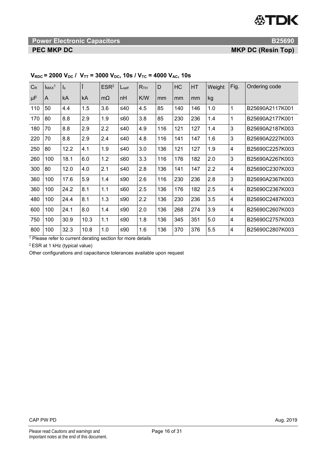# **19 International Power Electronic Capacitors And American Contract Capacitors B25690 <b>B25690**

**PEC MKP DC** MKP DC **MKP DC** (Resin Top)

| $C_R$ | ImAx <sup>1</sup> | $\mathsf{I}_\mathsf{S}$ |      | ESR <sup>2</sup> | $L_{\text{self}}$ | R <sub>TH</sub> | D   | HC  | HT  | Weight | Fig.           | Ordering code   |
|-------|-------------------|-------------------------|------|------------------|-------------------|-----------------|-----|-----|-----|--------|----------------|-----------------|
| μF    | A                 | kA                      | kA   | $m\Omega$        | nH                | K/W             | mm  | mm  | mm  | kg     |                |                 |
| 110   | 50                | 4.4                     | 1.5  | 3.6              | $\leq 40$         | 4.5             | 85  | 140 | 146 | 1.0    | 1              | B25690A2117K001 |
| 170   | 80                | 8.8                     | 2.9  | 1.9              | ≤60               | 3.8             | 85  | 230 | 236 | 1.4    | 1              | B25690A2177K001 |
| 180   | 70                | 8.8                     | 2.9  | 2.2              | ≤40               | 4.9             | 116 | 121 | 127 | 1.4    | 3              | B25690A2187K003 |
| 220   | 70                | 8.8                     | 2.9  | 2.4              | ≤40               | 4.8             | 116 | 141 | 147 | 1.6    | 3              | B25690A2227K003 |
| 250   | 80                | 12.2                    | 4.1  | 1.9              | ≤40               | 3.0             | 136 | 121 | 127 | 1.9    | $\overline{4}$ | B25690C2257K003 |
| 260   | 100               | 18.1                    | 6.0  | 1.2              | ≤60               | 3.3             | 116 | 176 | 182 | 2.0    | 3              | B25690A2267K003 |
| 300   | 80                | 12.0                    | 4.0  | 2.1              | ≤40               | 2.8             | 136 | 141 | 147 | 2.2    | 4              | B25690C2307K003 |
| 360   | 100               | 17.6                    | 5.9  | 1.4              | ≤ $90$            | 2.6             | 116 | 230 | 236 | 2.8    | 3              | B25690A2367K003 |
| 360   | 100               | 24.2                    | 8.1  | 1.1              | ≤60               | 2.5             | 136 | 176 | 182 | 2.5    | 4              | B25690C2367K003 |
| 480   | 100               | 24.4                    | 8.1  | 1.3              | ≤ $90$            | 2.2             | 136 | 230 | 236 | 3.5    | 4              | B25690C2487K003 |
| 600   | 100               | 24.1                    | 8.0  | 1.4              | ≤90               | 2.0             | 136 | 268 | 274 | 3.9    | 4              | B25690C2607K003 |
| 750   | 100               | 30.9                    | 10.3 | 1.1              | ≤90               | 1.8             | 136 | 345 | 351 | 5.0    | 4              | B25690C2757K003 |
| 800   | 100               | 32.3                    | 10.8 | 1.0              | ≤ $90$            | 1.6             | 136 | 370 | 376 | 5.5    | 4              | B25690C2807K003 |

# $V_{RDC}$  = 2000  $V_{DC}$  /  $V_{TT}$  = 3000  $V_{DC}$ , 10s /  $V_{TC}$  = 4000  $V_{AC}$ , 10s

<sup>1</sup> Please refer to current derating section for more details

2 ESR at 1 kHz (typical value)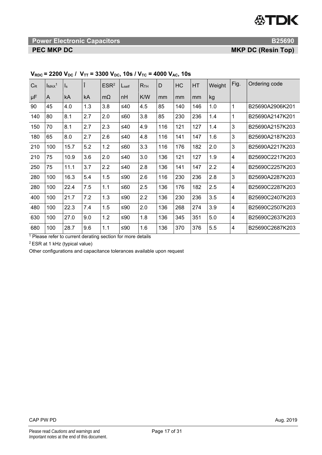**Power Electronic Capacitors B25690 <b>B25690 B25690** 

**PEC MKP DC** *PEC MKP DC* 

| $C_{R}$ | ImAx <sup>1</sup> | ls   |     | ESR <sup>2</sup> | L <sub>self</sub> | R <sub>TH</sub> | D   | HC  | <b>HT</b> | Weight | Fig.                    | Ordering code   |
|---------|-------------------|------|-----|------------------|-------------------|-----------------|-----|-----|-----------|--------|-------------------------|-----------------|
| $\mu$ F | A                 | kA   | kA  | $m\Omega$        | nH                | K/W             | mm  | mm  | mm        | kg     |                         |                 |
| 90      | 45                | 4.0  | 1.3 | 3.8              | ≤40               | 4.5             | 85  | 140 | 146       | 1.0    | 1                       | B25690A2906K201 |
| 140     | 80                | 8.1  | 2.7 | 2.0              | ≤60               | 3.8             | 85  | 230 | 236       | 1.4    | 1                       | B25690A2147K201 |
| 150     | 70                | 8.1  | 2.7 | 2.3              | $\leq 40$         | 4.9             | 116 | 121 | 127       | 1.4    | 3                       | B25690A2157K203 |
| 180     | 65                | 8.0  | 2.7 | 2.6              | ≤40               | 4.8             | 116 | 141 | 147       | 1.6    | 3                       | B25690A2187K203 |
| 210     | 100               | 15.7 | 5.2 | 1.2              | ≤60               | 3.3             | 116 | 176 | 182       | 2.0    | 3                       | B25690A2217K203 |
| 210     | 75                | 10.9 | 3.6 | 2.0              | ≤40               | 3.0             | 136 | 121 | 127       | 1.9    | 4                       | B25690C2217K203 |
| 250     | 75                | 11.1 | 3.7 | 2.2              | ≤40               | 2.8             | 136 | 141 | 147       | 2.2    | $\overline{4}$          | B25690C2257K203 |
| 280     | 100               | 16.3 | 5.4 | 1.5              | ≤90               | 2.6             | 116 | 230 | 236       | 2.8    | 3                       | B25690A2287K203 |
| 280     | 100               | 22.4 | 7.5 | 1.1              | ≤60               | 2.5             | 136 | 176 | 182       | 2.5    | $\overline{\mathbf{4}}$ | B25690C2287K203 |
| 400     | 100               | 21.7 | 7.2 | 1.3              | ≤ $90$            | 2.2             | 136 | 230 | 236       | 3.5    | 4                       | B25690C2407K203 |
| 480     | 100               | 22.3 | 7.4 | 1.5              | ≤ $90$            | 2.0             | 136 | 268 | 274       | 3.9    | 4                       | B25690C2507K203 |
| 630     | 100               | 27.0 | 9.0 | 1.2              | ≤90               | 1.8             | 136 | 345 | 351       | 5.0    | $\overline{\mathbf{4}}$ | B25690C2637K203 |
| 680     | 100               | 28.7 | 9.6 | 1.1              | ≤90               | 1.6             | 136 | 370 | 376       | 5.5    | 4                       | B25690C2687K203 |

# $V_{RDC}$  = 2200  $V_{DC}$  /  $V_{TT}$  = 3300  $V_{DC}$ , 10s /  $V_{TC}$  = 4000  $V_{AC}$ , 10s

 $1$  Please refer to current derating section for more details

2 ESR at 1 kHz (typical value)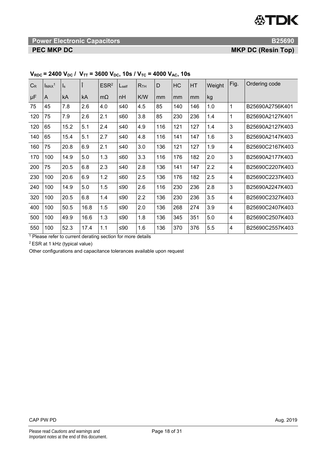**Power Electronic Capacitors B25690 <b>B25690 B25690** 

**PEC MKP DC** MKP DC **MKP DC** (Resin Top)

| $C_R$                   | ImAx <sup>1</sup> | $\mathsf{I}_\mathsf{S}$ | î    | ESR <sup>2</sup> | $L_{\text{self}}$ | R <sub>TH</sub> | $\mathsf{D}$ | HC  | HT  | Weight | Fig.                    | Ordering code   |
|-------------------------|-------------------|-------------------------|------|------------------|-------------------|-----------------|--------------|-----|-----|--------|-------------------------|-----------------|
| μF                      | A                 | kA                      | kA   | $m\Omega$        | nH                | K/W             | mm           | mm  | mm  | kg     |                         |                 |
| 75                      | 45                | 7.8                     | 2.6  | 4.0              | ≤40               | 4.5             | 85           | 140 | 146 | 1.0    | 1                       | B25690A2756K401 |
| 120                     | 75                | 7.9                     | 2.6  | 2.1              | ≤60               | 3.8             | 85           | 230 | 236 | 1.4    | 1                       | B25690A2127K401 |
| 120                     | 65                | 15.2                    | 5.1  | 2.4              | $\leq 40$         | 4.9             | 116          | 121 | 127 | 1.4    | 3                       | B25690A2127K403 |
| 140                     | 65                | 15.4                    | 5.1  | 2.7              | ≤40               | 4.8             | 116          | 141 | 147 | 1.6    | 3                       | B25690A2147K403 |
| 160                     | 75                | 20.8                    | 6.9  | 2.1              | $\leq 40$         | 3.0             | 136          | 121 | 127 | 1.9    | $\overline{\mathbf{4}}$ | B25690C2167K403 |
| 170                     | 100               | 14.9                    | 5.0  | 1.3              | ≤60               | 3.3             | 116          | 176 | 182 | 2.0    | 3                       | B25690A2177K403 |
| 200                     | 75                | 20.5                    | 6.8  | 2.3              | $\leq 40$         | 2.8             | 136          | 141 | 147 | 2.2    | $\overline{\mathbf{4}}$ | B25690C2207K403 |
| 230                     | 100               | 20.6                    | 6.9  | 1.2              | ≤60               | 2.5             | 136          | 176 | 182 | 2.5    | $\overline{\mathbf{4}}$ | B25690C2237K403 |
| 240                     | 100               | 14.9                    | 5.0  | 1.5              | ≤90               | 2.6             | 116          | 230 | 236 | 2.8    | 3                       | B25690A2247K403 |
| 320                     | 100               | 20.5                    | 6.8  | 1.4              | ≤ $90$            | 2.2             | 136          | 230 | 236 | 3.5    | 4                       | B25690C2327K403 |
| 400                     | 100               | 50.5                    | 16.8 | 1.5              | ≤ $90$            | 2.0             | 136          | 268 | 274 | 3.9    | 4                       | B25690C2407K403 |
| 500                     | 100               | 49.9                    | 16.6 | 1.3              | ≤ $90$            | 1.8             | 136          | 345 | 351 | 5.0    | 4                       | B25690C2507K403 |
| 550<br>$\lambda$ $\sim$ | 100               | 52.3                    | 17.4 | 1.1              | ≤ $90$            | 1.6             | 136          | 370 | 376 | 5.5    | $\overline{\mathbf{4}}$ | B25690C2557K403 |

# $V_{RDC}$  = 2400  $V_{DC}$  /  $V_{TT}$  = 3600  $V_{DC}$ , 10s /  $V_{TC}$  = 4000  $V_{AC}$ , 10s

<sup>1</sup> Please refer to current derating section for more details

2 ESR at 1 kHz (typical value)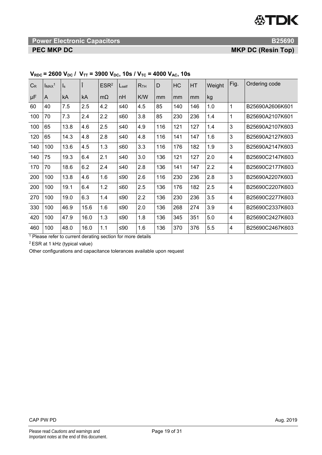**Power Electronic Capacitors B25690 <b>B25690 B25690** 

**PEC MKP DC** MKP DC **MKP DC** (Resin Top)

| $C_R$ | ImAx <sup>1</sup> | $\mathsf{I}_\mathsf{S}$ | î    | ESR <sup>2</sup> | L <sub>self</sub> | R <sub>TH</sub> | $\mathsf{D}$ | HC  | HT  | Weight | Fig.                    | Ordering code   |
|-------|-------------------|-------------------------|------|------------------|-------------------|-----------------|--------------|-----|-----|--------|-------------------------|-----------------|
| μF    | A                 | kA                      | kA   | $m\Omega$        | nH                | K/W             | mm           | mm  | mm  | kg     |                         |                 |
| 60    | 40                | 7.5                     | 2.5  | 4.2              | $\leq 40$         | 4.5             | 85           | 140 | 146 | 1.0    | 1                       | B25690A2606K601 |
| 100   | 70                | 7.3                     | 2.4  | 2.2              | ≤60               | 3.8             | 85           | 230 | 236 | 1.4    | 1                       | B25690A2107K601 |
| 100   | 65                | 13.8                    | 4.6  | 2.5              | $\leq 40$         | 4.9             | 116          | 121 | 127 | 1.4    | 3                       | B25690A2107K603 |
| 120   | 65                | 14.3                    | 4.8  | 2.8              | ≤40               | 4.8             | 116          | 141 | 147 | 1.6    | 3                       | B25690A2127K603 |
| 140   | 100               | 13.6                    | 4.5  | 1.3              | ≤60               | 3.3             | 116          | 176 | 182 | 1.9    | 3                       | B25690A2147K603 |
| 140   | 75                | 19.3                    | 6.4  | 2.1              | $\leq 40$         | 3.0             | 136          | 121 | 127 | 2.0    | $\overline{\mathbf{4}}$ | B25690C2147K603 |
| 170   | 70                | 18.6                    | 6.2  | 2.4              | $\leq 40$         | 2.8             | 136          | 141 | 147 | 2.2    | $\overline{4}$          | B25690C2177K603 |
| 200   | 100               | 13.8                    | 4.6  | 1.6              | ≤ $90$            | 2.6             | 116          | 230 | 236 | 2.8    | 3                       | B25690A2207K603 |
| 200   | 100               | 19.1                    | 6.4  | 1.2              | ≤60               | 2.5             | 136          | 176 | 182 | 2.5    | $\overline{4}$          | B25690C2207K603 |
| 270   | 100               | 19.0                    | 6.3  | 1.4              | ≤ $90$            | 2.2             | 136          | 230 | 236 | 3.5    | 4                       | B25690C2277K603 |
| 330   | 100               | 46.9                    | 15.6 | 1.6              | ≤ $90$            | 2.0             | 136          | 268 | 274 | 3.9    | 4                       | B25690C2337K603 |
| 420   | 100               | 47.9                    | 16.0 | 1.3              | ≤90               | 1.8             | 136          | 345 | 351 | 5.0    | 4                       | B25690C2427K603 |
| 460   | 100               | 48.0                    | 16.0 | 1.1              | ≤ $90$            | 1.6             | 136          | 370 | 376 | 5.5    | $\overline{\mathbf{4}}$ | B25690C2467K603 |

# $V_{RDC}$  = 2600  $V_{DC}$  /  $V_{TT}$  = 3900  $V_{DC}$ , 10s /  $V_{TC}$  = 4000  $V_{AC}$ , 10s

<sup>1</sup> Please refer to current derating section for more details

2 ESR at 1 kHz (typical value)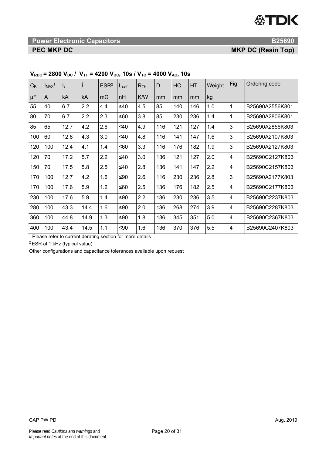# **18 International Power Electronic Capacitors And American Contract Capacitors B25690 <b>B25690**

**PEC MKP DC** *PEC MKP DC* 

| $C_R$ | ImAx <sup>1</sup> | $\mathsf{I}_\mathsf{S}$ |      | ESR <sup>2</sup> | L <sub>self</sub> | R <sub>TH</sub> | D   | HC  | HT  | Weight | Fig.                    | Ordering code   |
|-------|-------------------|-------------------------|------|------------------|-------------------|-----------------|-----|-----|-----|--------|-------------------------|-----------------|
| μF    | A                 | kA                      | kA   | $m\Omega$        | nH                | K/W             | mm  | mm  | mm  | kg     |                         |                 |
| 55    | 40                | 6.7                     | 2.2  | 4.4              | ≤40               | 4.5             | 85  | 140 | 146 | 1.0    | 1                       | B25690A2556K801 |
| 80    | 70                | 6.7                     | 2.2  | 2.3              | ≤60               | 3.8             | 85  | 230 | 236 | 1.4    | 1                       | B25690A2806K801 |
| 85    | 65                | 12.7                    | 4.2  | 2.6              | $\leq 40$         | 4.9             | 116 | 121 | 127 | 1.4    | 3                       | B25690A2856K803 |
| 100   | 60                | 12.8                    | 4.3  | 3.0              | $\leq 40$         | 4.8             | 116 | 141 | 147 | 1.6    | 3                       | B25690A2107K803 |
| 120   | 100               | 12.4                    | 4.1  | 1.4              | ≤60               | 3.3             | 116 | 176 | 182 | 1.9    | 3                       | B25690A2127K803 |
| 120   | 70                | 17.2                    | 5.7  | 2.2              | $\leq 40$         | 3.0             | 136 | 121 | 127 | 2.0    | $\overline{\mathbf{4}}$ | B25690C2127K803 |
| 150   | 70                | 17.5                    | 5.8  | 2.5              | $\leq 40$         | 2.8             | 136 | 141 | 147 | 2.2    | $\overline{4}$          | B25690C2157K803 |
| 170   | 100               | 12.7                    | 4.2  | 1.6              | ≤90               | 2.6             | 116 | 230 | 236 | 2.8    | 3                       | B25690A2177K803 |
| 170   | 100               | 17.6                    | 5.9  | 1.2              | ≤60               | 2.5             | 136 | 176 | 182 | 2.5    | $\overline{4}$          | B25690C2177K803 |
| 230   | 100               | 17.6                    | 5.9  | 1.4              | ≤ $90$            | 2.2             | 136 | 230 | 236 | 3.5    | 4                       | B25690C2237K803 |
| 280   | 100               | 43.3                    | 14.4 | 1.6              | ≤ $90$            | 2.0             | 136 | 268 | 274 | 3.9    | 4                       | B25690C2287K803 |
| 360   | 100               | 44.8                    | 14.9 | 1.3              | ≤ $90$            | 1.8             | 136 | 345 | 351 | 5.0    | $\overline{\mathbf{4}}$ | B25690C2367K803 |
| 400   | 100               | 43.4                    | 14.5 | 1.1              | ≤ $90$            | 1.6             | 136 | 370 | 376 | 5.5    | 4                       | B25690C2407K803 |

# $V_{RDC}$  = 2800  $V_{DC}$  /  $V_{TT}$  = 4200  $V_{DC}$ , 10s /  $V_{TC}$  = 4000  $V_{AC}$ , 10s

<sup>1</sup> Please refer to current derating section for more details

2 ESR at 1 kHz (typical value)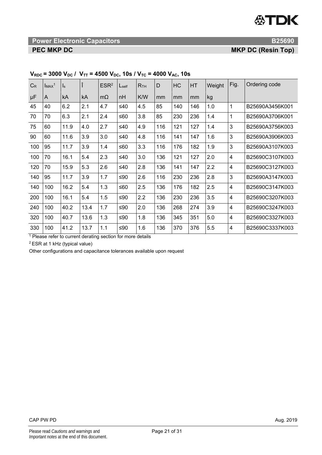# **1888 Power Electronic Capacitors B25690 <b>B25690 B25690**

**PEC MKP DC** *PEC MKP DC* 

| $C_R$ | ImAx <sup>1</sup> | $\mathsf{I}_\mathsf{S}$ | ÷.   | ESR <sup>2</sup> | L <sub>self</sub> | R <sub>TH</sub> | D   | HC  | HT  | Weight | Fig.                    | Ordering code   |
|-------|-------------------|-------------------------|------|------------------|-------------------|-----------------|-----|-----|-----|--------|-------------------------|-----------------|
| μF    | A                 | kA                      | kA   | $m\Omega$        | nH                | K/W             | mm  | mm  | mm  | kg     |                         |                 |
| 45    | 40                | 6.2                     | 2.1  | 4.7              | ≤40               | 4.5             | 85  | 140 | 146 | 1.0    | 1                       | B25690A3456K001 |
| 70    | 70                | 6.3                     | 2.1  | 2.4              | ≤60               | 3.8             | 85  | 230 | 236 | 1.4    | 1                       | B25690A3706K001 |
| 75    | 60                | 11.9                    | 4.0  | 2.7              | ≤40               | 4.9             | 116 | 121 | 127 | 1.4    | 3                       | B25690A3756K003 |
| 90    | 60                | 11.6                    | 3.9  | 3.0              | $\leq 40$         | 4.8             | 116 | 141 | 147 | 1.6    | 3                       | B25690A3906K003 |
| 100   | 95                | 11.7                    | 3.9  | 1.4              | ≤60               | 3.3             | 116 | 176 | 182 | 1.9    | 3                       | B25690A3107K003 |
| 100   | 70                | 16.1                    | 5.4  | 2.3              | ≤40               | 3.0             | 136 | 121 | 127 | 2.0    | $\overline{\mathbf{4}}$ | B25690C3107K003 |
| 120   | 70                | 15.9                    | 5.3  | 2.6              | ≤40               | 2.8             | 136 | 141 | 147 | 2.2    | 4                       | B25690C3127K003 |
| 140   | 95                | 11.7                    | 3.9  | 1.7              | ≤ $90$            | 2.6             | 116 | 230 | 236 | 2.8    | 3                       | B25690A3147K003 |
| 140   | 100               | 16.2                    | 5.4  | 1.3              | ≤60               | 2.5             | 136 | 176 | 182 | 2.5    | $\overline{4}$          | B25690C3147K003 |
| 200   | 100               | 16.1                    | 5.4  | 1.5              | ≤ $90$            | 2.2             | 136 | 230 | 236 | 3.5    | 4                       | B25690C3207K003 |
| 240   | 100               | 40.2                    | 13.4 | 1.7              | ≤ $90$            | 2.0             | 136 | 268 | 274 | 3.9    | 4                       | B25690C3247K003 |
| 320   | 100               | 40.7                    | 13.6 | 1.3              | ≤90               | 1.8             | 136 | 345 | 351 | 5.0    | $\overline{\mathbf{4}}$ | B25690C3327K003 |
| 330   | 100               | 41.2                    | 13.7 | 1.1              | ≤ $90$            | 1.6             | 136 | 370 | 376 | 5.5    | 4                       | B25690C3337K003 |

# $V_{RDC}$  = 3000  $V_{DC}$  /  $V_{TT}$  = 4500  $V_{DC}$ , 10s /  $V_{TC}$  = 4000  $V_{AC}$ , 10s

<sup>1</sup> Please refer to current derating section for more details

2 ESR at 1 kHz (typical value)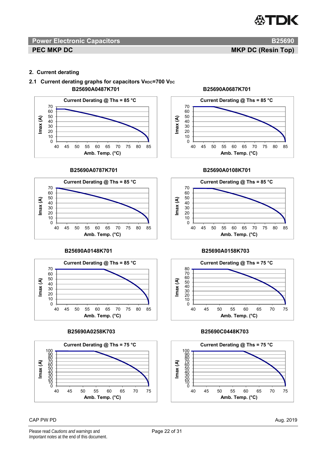

**PEC MKP DC** MKP DC **Resident CONSUMING TOP** 

## **2. Current derating**

# 2.1 Current derating graphs for capacitors V<sub>RDC</sub>=700 V<sub>DC</sub>  **B25690A0487K701 B25690A0687K701**



### **B25690A0787K701 B25690A0108K701**





## **B25690A0258K703 B25690C0448K703**



## $\mathsf{CAP}$  PW PD  $\mathsf{Aug.}$  2019





## **B25690A0148K701 B25690A0158K703**



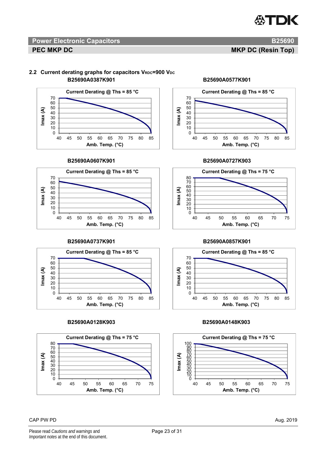## 2.2 Current derating graphs for capacitors V<sub>RDC</sub>=900 V<sub>DC</sub>  **B25690A0387K901 B25690A0577K901**



## **B25690A0607K901 B25690A0727K903**











## **B25690A0737K901 B25690A0857K901**



## **B25690A0128K903 B25690A0148K903**

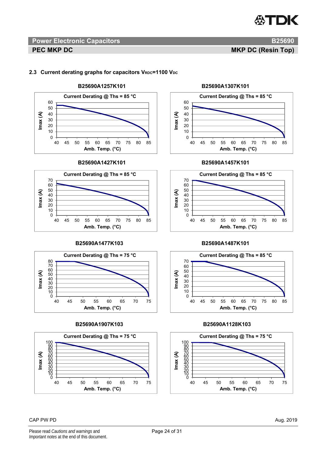## 2.3 Current derating graphs for capacitors V<sub>RDC</sub>=1100 V<sub>DC</sub>



### **B25690A1427K101 B25690A1457K101**





### **B25690A1907K103 B25690A1128K103**







## **B25690A1477K103 B25690A1487K101**



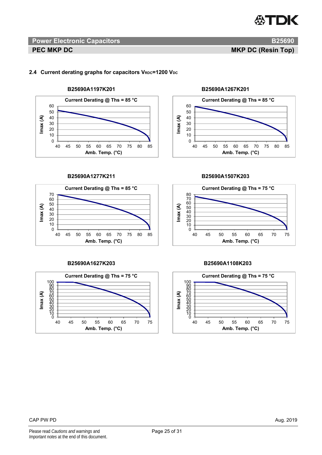# 2.4 Current derating graphs for capacitors V<sub>RDC</sub>=1200 V<sub>DC</sub>



### **B25690A1277K211 B25690A1507K203**



## **B25690A1627K203 B25690A1108K203**







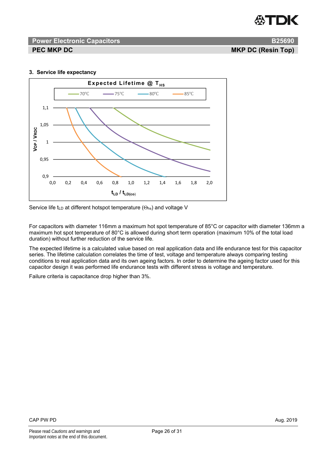

# **PEC MKP DC** MKP DC **Resident CONSUMING TOP**

## **3. Service life expectancy**



Service life t<sub>LD</sub> at different hotspot temperature ( $\Theta$ <sub>hs</sub>) and voltage V

For capacitors with diameter 116mm a maximum hot spot temperature of 85°C or capacitor with diameter 136mm a maximum hot spot temperature of 80°C is allowed during short term operation (maximum 10% of the total load duration) without further reduction of the service life.

The expected lifetime is a calculated value based on real application data and life endurance test for this capacitor series. The lifetime calculation correlates the time of test, voltage and temperature always comparing testing conditions to real application data and its own ageing factors. In order to determine the ageing factor used for this capacitor design it was performed life endurance tests with different stress is voltage and temperature.

Failure criteria is capacitance drop higher than 3%.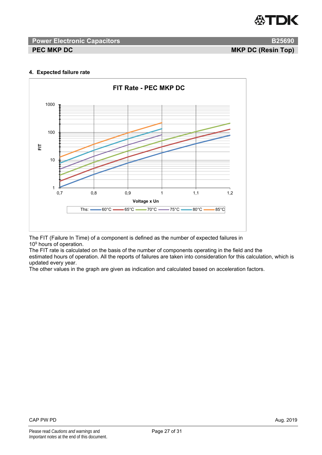

# **PEC MKP DC** MKP DC **Resident CONSTRUCTION**

### **4. Expected failure rate**



The FIT (Failure In Time) of a component is defined as the number of expected failures in 10<sup>9</sup> hours of operation.

The FIT rate is calculated on the basis of the number of components operating in the field and the estimated hours of operation. All the reports of failures are taken into consideration for this calculation, which is updated every year.

The other values in the graph are given as indication and calculated based on acceleration factors.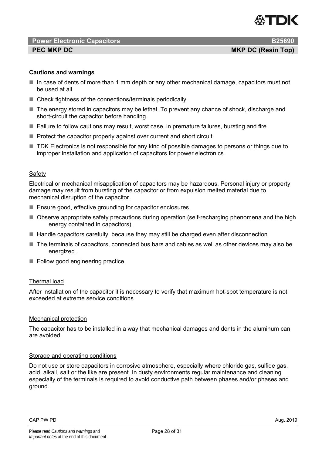

## **PEC MKP DC** MKP DC **Resident CONSUMING TOP**

# **Cautions and warnings**

- In case of dents of more than 1 mm depth or any other mechanical damage, capacitors must not be used at all.
- Check tightness of the connections/terminals periodically.
- The energy stored in capacitors may be lethal. To prevent any chance of shock, discharge and short-circuit the capacitor before handling.
- $\blacksquare$  Failure to follow cautions may result, worst case, in premature failures, bursting and fire.
- $\blacksquare$  Protect the capacitor properly against over current and short circuit.
- TDK Electronics is not responsible for any kind of possible damages to persons or things due to improper installation and application of capacitors for power electronics.

## Safety

Electrical or mechanical misapplication of capacitors may be hazardous. Personal injury or property damage may result from bursting of the capacitor or from expulsion melted material due to mechanical disruption of the capacitor.

- Ensure good, effective grounding for capacitor enclosures.
- Observe appropriate safety precautions during operation (self-recharging phenomena and the high energy contained in capacitors).
- $\blacksquare$  Handle capacitors carefully, because they may still be charged even after disconnection.
- The terminals of capacitors, connected bus bars and cables as well as other devices may also be energized.
- Follow good engineering practice.

## Thermal load

After installation of the capacitor it is necessary to verify that maximum hot-spot temperature is not exceeded at extreme service conditions.

## Mechanical protection

The capacitor has to be installed in a way that mechanical damages and dents in the aluminum can are avoided.

## Storage and operating conditions

Do not use or store capacitors in corrosive atmosphere, especially where chloride gas, sulfide gas, acid, alkali, salt or the like are present. In dusty environments regular maintenance and cleaning especially of the terminals is required to avoid conductive path between phases and/or phases and ground.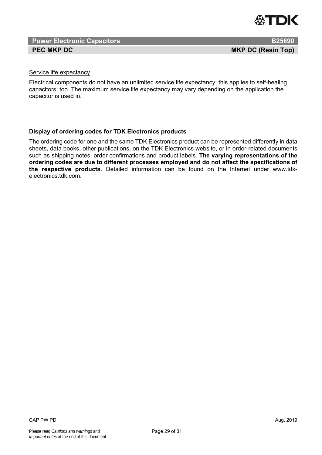

# Service life expectancy

Electrical components do not have an unlimited service life expectancy; this applies to self-healing capacitors, too. The maximum service life expectancy may vary depending on the application the capacitor is used in.

# **Display of ordering codes for TDK Electronics products**

The ordering code for one and the same TDK Electronics product can be represented differently in data sheets, data books, other publications, on the TDK Electronics website, or in order-related documents such as shipping notes, order confirmations and product labels. **The varying representations of the ordering codes are due to different processes employed and do not affect the specifications of the respective products**. Detailed information can be found on the Internet under www.tdkelectronics.tdk.com.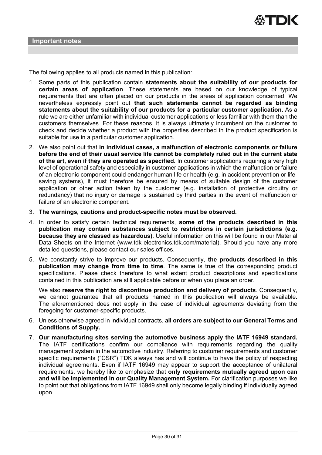The following applies to all products named in this publication:

- 1. Some parts of this publication contain **statements about the suitability of our products for certain areas of application**. These statements are based on our knowledge of typical requirements that are often placed on our products in the areas of application concerned. We nevertheless expressly point out **that such statements cannot be regarded as binding statements about the suitability of our products for a particular customer application.** As a rule we are either unfamiliar with individual customer applications or less familiar with them than the customers themselves. For these reasons, it is always ultimately incumbent on the customer to check and decide whether a product with the properties described in the product specification is suitable for use in a particular customer application.
- 2. We also point out that **in individual cases, a malfunction of electronic components or failure before the end of their usual service life cannot be completely ruled out in the current state of the art, even if they are operated as specified.** In customer applications requiring a very high level of operational safety and especially in customer applications in which the malfunction or failure of an electronic component could endanger human life or health (e.g. in accident prevention or lifesaving systems), it must therefore be ensured by means of suitable design of the customer application or other action taken by the customer (e.g. installation of protective circuitry or redundancy) that no injury or damage is sustained by third parties in the event of malfunction or failure of an electronic component.
- 3. **The warnings, cautions and product-specific notes must be observed.**
- 4. In order to satisfy certain technical requirements, **some of the products described in this publication may contain substances subject to restrictions in certain jurisdictions (e.g. because they are classed as hazardous)**. Useful information on this will be found in our Material Data Sheets on the Internet (www.tdk-electronics.tdk.com/material). Should you have any more detailed questions, please contact our sales offices.
- 5. We constantly strive to improve our products. Consequently, **the products described in this publication may change from time to time**. The same is true of the corresponding product specifications. Please check therefore to what extent product descriptions and specifications contained in this publication are still applicable before or when you place an order.

We also **reserve the right to discontinue production and delivery of products**. Consequently, we cannot guarantee that all products named in this publication will always be available. The aforementioned does not apply in the case of individual agreements deviating from the foregoing for customer-specific products.

- 6. Unless otherwise agreed in individual contracts, **all orders are subject to our General Terms and Conditions of Supply.**
- 7. **Our manufacturing sites serving the automotive business apply the IATF 16949 standard.** The IATF certifications confirm our compliance with requirements regarding the quality management system in the automotive industry. Referring to customer requirements and customer specific requirements ("CSR") TDK always has and will continue to have the policy of respecting individual agreements. Even if IATF 16949 may appear to support the acceptance of unilateral requirements, we hereby like to emphasize that **only requirements mutually agreed upon can and will be implemented in our Quality Management System.** For clarification purposes we like to point out that obligations from IATF 16949 shall only become legally binding if individually agreed upon.